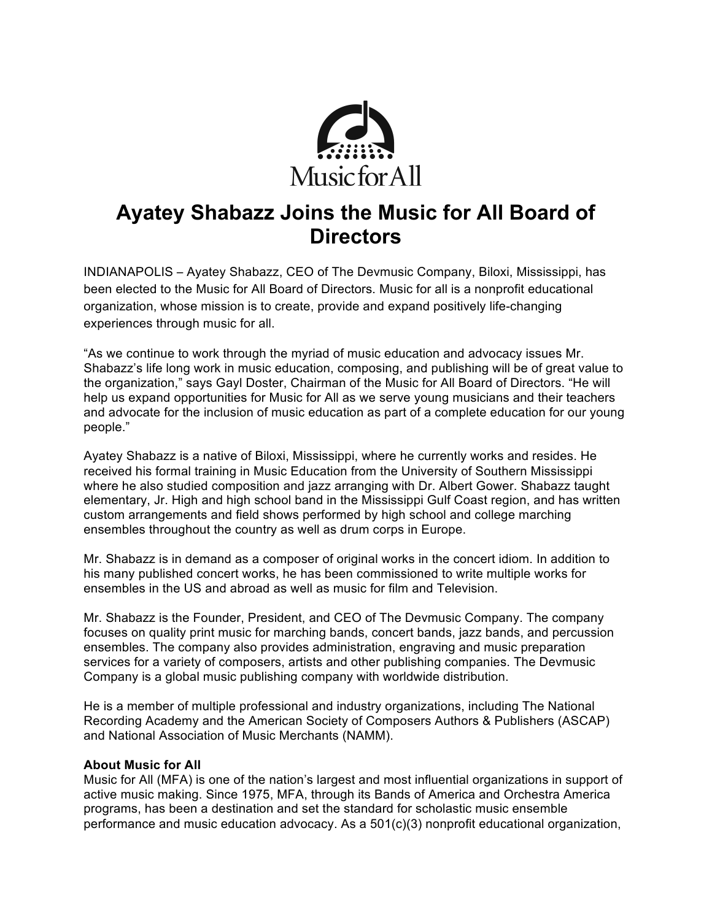

# **Ayatey Shabazz Joins the Music for All Board of Directors**

INDIANAPOLIS – Ayatey Shabazz, CEO of The Devmusic Company, Biloxi, Mississippi, has been elected to the Music for All Board of Directors. Music for all is a nonprofit educational organization, whose mission is to create, provide and expand positively life-changing experiences through music for all.

"As we continue to work through the myriad of music education and advocacy issues Mr. Shabazz's life long work in music education, composing, and publishing will be of great value to the organization," says Gayl Doster, Chairman of the Music for All Board of Directors. "He will help us expand opportunities for Music for All as we serve young musicians and their teachers and advocate for the inclusion of music education as part of a complete education for our young people."

Ayatey Shabazz is a native of Biloxi, Mississippi, where he currently works and resides. He received his formal training in Music Education from the University of Southern Mississippi where he also studied composition and jazz arranging with Dr. Albert Gower. Shabazz taught elementary, Jr. High and high school band in the Mississippi Gulf Coast region, and has written custom arrangements and field shows performed by high school and college marching ensembles throughout the country as well as drum corps in Europe.

Mr. Shabazz is in demand as a composer of original works in the concert idiom. In addition to his many published concert works, he has been commissioned to write multiple works for ensembles in the US and abroad as well as music for film and Television.

Mr. Shabazz is the Founder, President, and CEO of The Devmusic Company. The company focuses on quality print music for marching bands, concert bands, jazz bands, and percussion ensembles. The company also provides administration, engraving and music preparation services for a variety of composers, artists and other publishing companies. The Devmusic Company is a global music publishing company with worldwide distribution.

He is a member of multiple professional and industry organizations, including The National Recording Academy and the American Society of Composers Authors & Publishers (ASCAP) and National Association of Music Merchants (NAMM).

### **About Music for All**

Music for All (MFA) is one of the nation's largest and most influential organizations in support of active music making. Since 1975, MFA, through its Bands of America and Orchestra America programs, has been a destination and set the standard for scholastic music ensemble performance and music education advocacy. As a 501(c)(3) nonprofit educational organization,